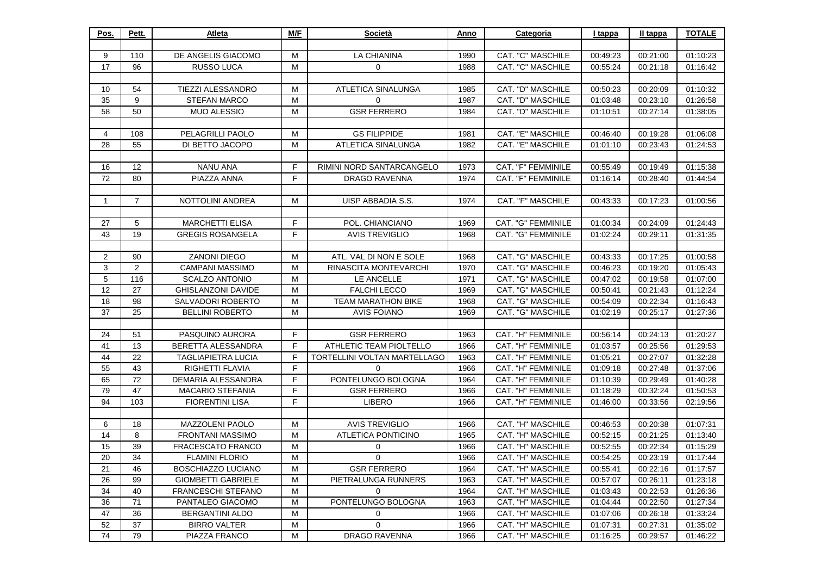| Pos.           | Pett.          | Atleta                    | M/F | Società                             | Anno | Categoria                 | I tappa  | <u>II tappa</u> | <b>TOTALE</b> |
|----------------|----------------|---------------------------|-----|-------------------------------------|------|---------------------------|----------|-----------------|---------------|
|                |                |                           |     |                                     |      |                           |          |                 |               |
| 9              | 110            | DE ANGELIS GIACOMO        | M   | LA CHIANINA                         | 1990 | CAT. "C" MASCHILE         | 00:49:23 | 00:21:00        | 01:10:23      |
| 17             | 96             | RUSSO LUCA                | м   | 0                                   | 1988 | <b>CAT. "C" MASCHILE</b>  | 00:55:24 | 00:21:18        | 01:16:42      |
|                |                |                           |     |                                     |      |                           |          |                 |               |
| 10             | 54             | TIEZZI ALESSANDRO         | M   | ATLETICA SINALUNGA                  | 1985 | CAT. "D" MASCHILE         | 00:50:23 | 00:20:09        | 01:10:32      |
| 35             | 9              | <b>STEFAN MARCO</b>       | м   | 0                                   | 1987 | CAT. "D" MASCHILE         | 01:03:48 | 00:23:10        | 01:26:58      |
| 58             | 50             | <b>MUO ALESSIO</b>        | м   | <b>GSR FERRERO</b>                  | 1984 | CAT. "D" MASCHILE         | 01:10:51 | 00:27:14        | 01:38:05      |
|                |                |                           |     |                                     |      |                           |          |                 |               |
| 4              | 108            | PELAGRILLI PAOLO          | м   | <b>GS FILIPPIDE</b>                 | 1981 | CAT. "E" MASCHILE         | 00:46:40 | 00:19:28        | 01:06:08      |
| 28             | 55             | DI BETTO JACOPO           | м   | ATLETICA SINALUNGA                  | 1982 | CAT. "E" MASCHILE         | 01:01:10 | 00:23:43        | 01:24:53      |
|                |                |                           |     |                                     |      |                           |          |                 |               |
| 16             | 12             | <b>NANU ANA</b>           | F   | RIMINI NORD SANTARCANGELO           | 1973 | CAT. "F" FEMMINILE        | 00:55:49 | 00:19:49        | 01:15:38      |
| 72             | 80             | PIAZZA ANNA               | F   | <b>DRAGO RAVENNA</b>                | 1974 | CAT. "F" FEMMINILE        | 01:16:14 | 00:28:40        | 01:44:54      |
|                |                |                           |     |                                     |      |                           |          |                 |               |
| 1              | $\overline{7}$ | NOTTOLINI ANDREA          | м   | UISP ABBADIA S.S.                   | 1974 | CAT. "F" MASCHILE         | 00:43:33 | 00:17:23        | 01:00:56      |
|                |                |                           |     |                                     |      |                           |          |                 |               |
| 27             | 5              | <b>MARCHETTI ELISA</b>    | F   | POL. CHIANCIANO                     | 1969 | CAT. "G" FEMMINILE        | 01:00:34 | 00:24:09        | 01:24:43      |
| 43             | 19             | <b>GREGIS ROSANGELA</b>   | F   | <b>AVIS TREVIGLIO</b>               | 1968 | <b>CAT. "G" FEMMINILE</b> | 01:02:24 | 00:29:11        | 01:31:35      |
|                |                |                           |     |                                     |      |                           |          |                 |               |
| $\overline{2}$ | 90             | <b>ZANONI DIEGO</b>       | м   | ATL. VAL DI NON E SOLE              | 1968 | CAT. "G" MASCHILE         | 00:43:33 | 00:17:25        | 01:00:58      |
| 3              | 2              | <b>CAMPANI MASSIMO</b>    | M   | RINASCITA MONTEVARCHI               | 1970 | CAT. "G" MASCHILE         | 00:46:23 | 00:19:20        | 01:05:43      |
| 5              | 116            | <b>SCALZO ANTONIO</b>     | M   | LE ANCELLE                          | 1971 | CAT. "G" MASCHILE         | 00:47:02 | 00:19:58        | 01:07:00      |
| 12             | 27             | <b>GHISLANZONI DAVIDE</b> | м   | <b>FALCHI LECCO</b>                 | 1969 | CAT. "G" MASCHILE         | 00:50:41 | 00:21:43        | 01:12:24      |
| 18             | 98             | SALVADORI ROBERTO         | M   | <b>TEAM MARATHON BIKE</b>           | 1968 | <b>CAT. "G" MASCHILE</b>  | 00:54:09 | 00:22:34        | 01:16:43      |
| 37             | 25             | <b>BELLINI ROBERTO</b>    | м   | <b>AVIS FOIANO</b>                  | 1969 | CAT. "G" MASCHILE         | 01:02:19 | 00:25:17        | 01:27:36      |
|                |                |                           |     |                                     |      |                           |          |                 |               |
| 24             | 51             | PASQUINO AURORA           | F   | <b>GSR FERRERO</b>                  | 1963 | CAT. "H" FEMMINILE        | 00:56:14 | 00:24:13        | 01:20:27      |
| 41             | 13             | BERETTA ALESSANDRA        | F   | ATHLETIC TEAM PIOLTELLO             | 1966 | CAT. "H" FEMMINILE        | 01:03:57 | 00:25:56        | 01:29:53      |
| 44             | 22             | <b>TAGLIAPIETRA LUCIA</b> | F   | <b>TORTELLINI VOLTAN MARTELLAGO</b> | 1963 | CAT. "H" FEMMINILE        | 01:05:21 | 00:27:07        | 01:32:28      |
| 55             | 43             | RIGHETTI FLAVIA           | F.  | $\Omega$                            | 1966 | CAT. "H" FEMMINILE        | 01:09:18 | 00:27:48        | 01:37:06      |
| 65             | 72             | DEMARIA ALESSANDRA        | F   | PONTELUNGO BOLOGNA                  | 1964 | CAT. "H" FEMMINILE        | 01:10:39 | 00:29:49        | 01:40:28      |
| 79             | 47             | <b>MACARIO STEFANIA</b>   | F   | <b>GSR FERRERO</b>                  | 1966 | CAT. "H" FEMMINILE        | 01:18:29 | 00:32:24        | 01:50:53      |
| 94             | 103            | <b>FIORENTINI LISA</b>    | F   | <b>LIBERO</b>                       | 1966 | CAT. "H" FEMMINILE        | 01:46:00 | 00:33:56        | 02:19:56      |
|                |                |                           |     |                                     |      |                           |          |                 |               |
| 6              | 18             | MAZZOLENI PAOLO           | м   | <b>AVIS TREVIGLIO</b>               | 1966 | CAT. "H" MASCHILE         | 00:46:53 | 00:20:38        | 01:07:31      |
| 14             | 8              | <b>FRONTANI MASSIMO</b>   | M   | <b>ATLETICA PONTICINO</b>           | 1965 | CAT. "H" MASCHILE         | 00:52:15 | 00:21:25        | 01:13:40      |
| 15             | 39             | FRACESCATO FRANCO         | M   | 0                                   | 1966 | CAT. "H" MASCHILE         | 00:52:55 | 00:22:34        | 01:15:29      |
| 20             | 34             | <b>FLAMINI FLORIO</b>     | м   | 0                                   | 1966 | CAT. "H" MASCHILE         | 00:54:25 | 00:23:19        | 01:17:44      |
| 21             | 46             | <b>BOSCHIAZZO LUCIANO</b> | м   | <b>GSR FERRERO</b>                  | 1964 | CAT. "H" MASCHILE         | 00:55:41 | 00:22:16        | 01:17:57      |
| 26             | 99             | <b>GIOMBETTI GABRIELE</b> | M   | PIETRALUNGA RUNNERS                 | 1963 | CAT. "H" MASCHILE         | 00:57:07 | 00:26:11        | 01:23:18      |
| 34             | 40             | <b>FRANCESCHI STEFANO</b> | м   | $\mathbf 0$                         | 1964 | CAT. "H" MASCHILE         | 01:03:43 | 00:22:53        | 01:26:36      |
| 36             | $71$           | PANTALEO GIACOMO          | м   | PONTELUNGO BOLOGNA                  | 1963 | CAT. "H" MASCHILE         | 01:04:44 | 00:22:50        | 01:27:34      |
| 47             | 36             | <b>BERGANTINI ALDO</b>    | M   | 0                                   | 1966 | CAT. "H" MASCHILE         | 01:07:06 | 00:26:18        | 01:33:24      |
| 52             | 37             | <b>BIRRO VALTER</b>       | M   | $\mathbf{0}$                        | 1966 | CAT. "H" MASCHILE         | 01:07:31 | 00:27:31        | 01:35:02      |
| 74             | 79             | PIAZZA FRANCO             | M   | <b>DRAGO RAVENNA</b>                | 1966 | CAT. "H" MASCHILE         | 01:16:25 | 00:29:57        | 01:46:22      |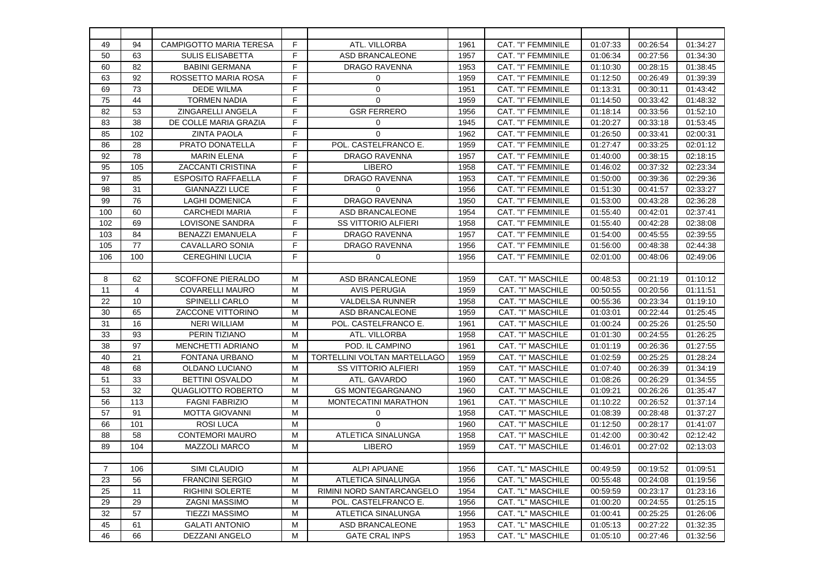| 49             | 94  | <b>CAMPIGOTTO MARIA TERESA</b> | F | ATL. VILLORBA                       | 1961 | CAT. "I" FEMMINILE | 01:07:33 | 00:26:54 | 01:34:27 |
|----------------|-----|--------------------------------|---|-------------------------------------|------|--------------------|----------|----------|----------|
| 50             | 63  | <b>SULIS ELISABETTA</b>        | F | <b>ASD BRANCALEONE</b>              | 1957 | CAT. "I" FEMMINILE | 01:06:34 | 00:27:56 | 01:34:30 |
| 60             | 82  | <b>BABINI GERMANA</b>          | F | <b>DRAGO RAVENNA</b>                | 1953 | CAT. "I" FEMMINILE | 01:10:30 | 00:28:15 | 01:38:45 |
| 63             | 92  | ROSSETTO MARIA ROSA            | E | 0                                   | 1959 | CAT. "I" FEMMINILE | 01:12:50 | 00:26:49 | 01:39:39 |
| 69             | 73  | <b>DEDE WILMA</b>              | F | 0                                   | 1951 | CAT. "I" FEMMINILE | 01:13:31 | 00:30:11 | 01:43:42 |
| 75             | 44  | <b>TORMEN NADIA</b>            | F | $\Omega$                            | 1959 | CAT. "I" FEMMINILE | 01:14:50 | 00:33:42 | 01:48:32 |
| 82             | 53  | <b>ZINGARELLI ANGELA</b>       | F | <b>GSR FERRERO</b>                  | 1956 | CAT. "I" FEMMINILE | 01:18:14 | 00:33:56 | 01:52:10 |
| 83             | 38  | DE COLLE MARIA GRAZIA          | F | $\mathbf 0$                         | 1945 | CAT. "I" FEMMINILE | 01:20:27 | 00:33:18 | 01:53:45 |
| 85             | 102 | <b>ZINTA PAOLA</b>             | F | $\Omega$                            | 1962 | CAT. "I" FEMMINILE | 01:26:50 | 00:33:41 | 02:00:31 |
| 86             | 28  | PRATO DONATELLA                | E | POL. CASTELFRANCO E.                | 1959 | CAT. "I" FEMMINILE | 01:27:47 | 00:33:25 | 02:01:12 |
| 92             | 78  | <b>MARIN ELENA</b>             | E | DRAGO RAVENNA                       | 1957 | CAT. "I" FEMMINILE | 01:40:00 | 00:38:15 | 02:18:15 |
| 95             | 105 | <b>ZACCANTI CRISTINA</b>       | E | <b>LIBERO</b>                       | 1958 | CAT. "I" FEMMINILE | 01:46:02 | 00:37:32 | 02:23:34 |
| 97             | 85  | <b>ESPOSITO RAFFAELLA</b>      | F | <b>DRAGO RAVENNA</b>                | 1953 | CAT. "I" FEMMINILE | 01:50:00 | 00:39:36 | 02:29:36 |
| 98             | 31  | <b>GIANNAZZI LUCE</b>          | F | 0                                   | 1956 | CAT. "I" FEMMINILE | 01:51:30 | 00:41:57 | 02:33:27 |
| 99             | 76  | <b>LAGHI DOMENICA</b>          | F | <b>DRAGO RAVENNA</b>                | 1950 | CAT. "I" FEMMINILE | 01:53:00 | 00:43:28 | 02:36:28 |
| 100            | 60  | <b>CARCHEDI MARIA</b>          | E | ASD BRANCALEONE                     | 1954 | CAT. "I" FEMMINILE | 01:55:40 | 00:42:01 | 02:37:41 |
| 102            | 69  | LOVISONE SANDRA                | F | <b>SS VITTORIO ALFIERI</b>          | 1958 | CAT. "I" FEMMINILE | 01:55:40 | 00:42:28 | 02:38:08 |
| 103            | 84  | <b>BENAZZI EMANUELA</b>        | F | <b>DRAGO RAVENNA</b>                | 1957 | CAT. "I" FEMMINILE | 01:54:00 | 00:45:55 | 02:39:55 |
| 105            | 77  | CAVALLARO SONIA                | F | DRAGO RAVENNA                       | 1956 | CAT. "I" FEMMINILE | 01:56:00 | 00:48:38 | 02:44:38 |
| 106            | 100 | <b>CEREGHINI LUCIA</b>         | F | 0                                   | 1956 | CAT. "I" FEMMINILE | 02:01:00 | 00:48:06 | 02:49:06 |
|                |     |                                |   |                                     |      |                    |          |          |          |
| 8              | 62  | <b>SCOFFONE PIERALDO</b>       | м | <b>ASD BRANCALEONE</b>              | 1959 | CAT. "I" MASCHILE  | 00:48:53 | 00:21:19 | 01:10:12 |
| 11             | 4   | <b>COVARELLI MAURO</b>         | м | <b>AVIS PERUGIA</b>                 | 1959 | CAT. "I" MASCHILE  | 00:50:55 | 00:20:56 | 01:11:51 |
| 22             | 10  | <b>SPINELLI CARLO</b>          | M | <b>VALDELSA RUNNER</b>              | 1958 | CAT. "I" MASCHILE  | 00:55:36 | 00:23:34 | 01:19:10 |
| 30             | 65  | <b>ZACCONE VITTORINO</b>       | м | <b>ASD BRANCALEONE</b>              | 1959 | CAT. "I" MASCHILE  | 01:03:01 | 00:22:44 | 01:25:45 |
| 31             | 16  | <b>NERI WILLIAM</b>            | м | POL. CASTELFRANCO E.                | 1961 | CAT. "I" MASCHILE  | 01:00:24 | 00:25:26 | 01:25:50 |
| 33             | 93  | PERIN TIZIANO                  | M | ATL. VILLORBA                       | 1958 | CAT. "I" MASCHILE  | 01:01:30 | 00:24:55 | 01:26:25 |
| 38             | 97  | <b>MENCHETTI ADRIANO</b>       | м | POD. IL CAMPINO                     | 1961 | CAT. "I" MASCHILE  | 01:01:19 | 00:26:36 | 01:27:55 |
| 40             | 21  | <b>FONTANA URBANO</b>          | м | <b>TORTELLINI VOLTAN MARTELLAGO</b> | 1959 | CAT. "I" MASCHILE  | 01:02:59 | 00:25:25 | 01:28:24 |
| 48             | 68  | OLDANO LUCIANO                 | M | <b>SS VITTORIO ALFIERI</b>          | 1959 | CAT. "I" MASCHILE  | 01:07:40 | 00:26:39 | 01:34:19 |
| 51             | 33  | <b>BETTINI OSVALDO</b>         | м | ATL. GAVARDO                        | 1960 | CAT. "I" MASCHILE  | 01:08:26 | 00:26:29 | 01:34:55 |
| 53             | 32  | QUAGLIOTTO ROBERTO             | M | <b>GS MONTEGARGNANO</b>             | 1960 | CAT. "I" MASCHILE  | 01:09:21 | 00:26:26 | 01:35:47 |
| 56             | 113 | <b>FAGNI FABRIZIO</b>          | м | MONTECATINI MARATHON                | 1961 | CAT. "I" MASCHILE  | 01:10:22 | 00:26:52 | 01:37:14 |
| 57             | 91  | <b>MOTTA GIOVANNI</b>          | M | $\mathbf 0$                         | 1958 | CAT. "I" MASCHILE  | 01:08:39 | 00:28:48 | 01:37:27 |
| 66             | 101 | <b>ROSILUCA</b>                | м | $\Omega$                            | 1960 | CAT. "I" MASCHILE  | 01:12:50 | 00:28:17 | 01:41:07 |
| 88             | 58  | <b>CONTEMORI MAURO</b>         | M | ATLETICA SINALUNGA                  | 1958 | CAT. "I" MASCHILE  | 01:42:00 | 00:30:42 | 02:12:42 |
| 89             | 104 | <b>MAZZOLI MARCO</b>           | M | <b>LIBERO</b>                       | 1959 | CAT. "I" MASCHILE  | 01:46:01 | 00:27:02 | 02:13:03 |
|                |     |                                |   |                                     |      |                    |          |          |          |
| $\overline{7}$ | 106 | SIMI CLAUDIO                   | M | <b>ALPI APUANE</b>                  | 1956 | CAT. "L" MASCHILE  | 00:49:59 | 00:19:52 | 01:09:51 |
| 23             | 56  | <b>FRANCINI SERGIO</b>         | M | ATLETICA SINALUNGA                  | 1956 | CAT. "L" MASCHILE  | 00:55:48 | 00:24:08 | 01:19:56 |
| 25             | 11  | <b>RIGHINI SOLERTE</b>         | M | RIMINI NORD SANTARCANGELO           | 1954 | CAT. "L" MASCHILE  | 00:59:59 | 00:23:17 | 01:23:16 |
| 29             | 29  | <b>ZAGNI MASSIMO</b>           | M | POL. CASTELFRANCO E.                | 1956 | CAT. "L" MASCHILE  | 01:00:20 | 00:24:55 | 01:25:15 |
| 32             | 57  | <b>TIEZZI MASSIMO</b>          | M | ATLETICA SINALUNGA                  | 1956 | CAT. "L" MASCHILE  | 01:00:41 | 00:25:25 | 01:26:06 |
| 45             | 61  | <b>GALATI ANTONIO</b>          | M | ASD BRANCALEONE                     | 1953 | CAT. "L" MASCHILE  | 01:05:13 | 00:27:22 | 01:32:35 |
| 46             | 66  | DEZZANI ANGELO                 | M | <b>GATE CRAL INPS</b>               | 1953 | CAT. "L" MASCHILE  | 01:05:10 | 00:27:46 | 01:32:56 |